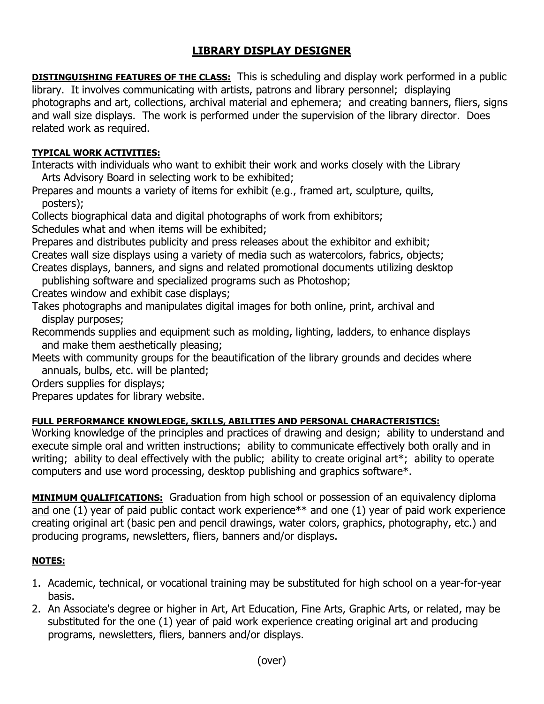## **LIBRARY DISPLAY DESIGNER**

**DISTINGUISHING FEATURES OF THE CLASS:** This is scheduling and display work performed in a public library. It involves communicating with artists, patrons and library personnel; displaying photographs and art, collections, archival material and ephemera; and creating banners, fliers, signs and wall size displays. The work is performed under the supervision of the library director. Does related work as required.

## **TYPICAL WORK ACTIVITIES:**

Interacts with individuals who want to exhibit their work and works closely with the Library Arts Advisory Board in selecting work to be exhibited;

Prepares and mounts a variety of items for exhibit (e.g., framed art, sculpture, quilts, posters);

Collects biographical data and digital photographs of work from exhibitors;

Schedules what and when items will be exhibited;

Prepares and distributes publicity and press releases about the exhibitor and exhibit; Creates wall size displays using a variety of media such as watercolors, fabrics, objects;

Creates displays, banners, and signs and related promotional documents utilizing desktop

publishing software and specialized programs such as Photoshop;

Creates window and exhibit case displays;

Takes photographs and manipulates digital images for both online, print, archival and display purposes;

Recommends supplies and equipment such as molding, lighting, ladders, to enhance displays and make them aesthetically pleasing;

Meets with community groups for the beautification of the library grounds and decides where annuals, bulbs, etc. will be planted;

Orders supplies for displays;

Prepares updates for library website.

## **FULL PERFORMANCE KNOWLEDGE, SKILLS, ABILITIES AND PERSONAL CHARACTERISTICS:**

Working knowledge of the principles and practices of drawing and design; ability to understand and execute simple oral and written instructions; ability to communicate effectively both orally and in writing; ability to deal effectively with the public; ability to create original art\*; ability to operate computers and use word processing, desktop publishing and graphics software\*.

**MINIMUM QUALIFICATIONS:** Graduation from high school or possession of an equivalency diploma and one (1) year of paid public contact work experience\*\* and one (1) year of paid work experience creating original art (basic pen and pencil drawings, water colors, graphics, photography, etc.) and producing programs, newsletters, fliers, banners and/or displays.

## **NOTES:**

- 1. Academic, technical, or vocational training may be substituted for high school on a year-for-year basis.
- 2. An Associate's degree or higher in Art, Art Education, Fine Arts, Graphic Arts, or related, may be substituted for the one (1) year of paid work experience creating original art and producing programs, newsletters, fliers, banners and/or displays.